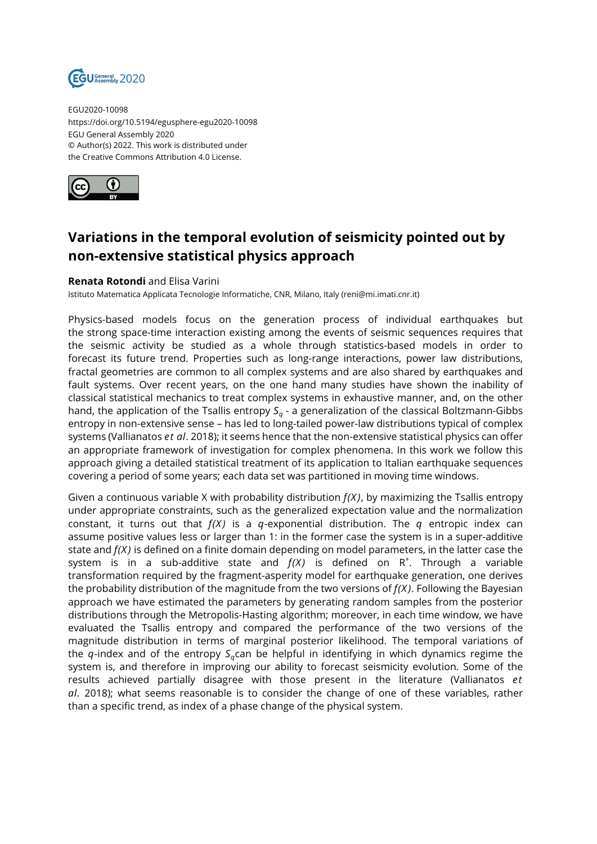

EGU2020-10098 https://doi.org/10.5194/egusphere-egu2020-10098 EGU General Assembly 2020 © Author(s) 2022. This work is distributed under the Creative Commons Attribution 4.0 License.



## **Variations in the temporal evolution of seismicity pointed out by non-extensive statistical physics approach**

## **Renata Rotondi** and Elisa Varini

Istituto Matematica Applicata Tecnologie Informatiche, CNR, Milano, Italy (reni@mi.imati.cnr.it)

Physics-based models focus on the generation process of individual earthquakes but the strong space-time interaction existing among the events of seismic sequences requires that the seismic activity be studied as a whole through statistics-based models in order to forecast its future trend. Properties such as long-range interactions, power law distributions, fractal geometries are common to all complex systems and are also shared by earthquakes and fault systems. Over recent years, on the one hand many studies have shown the inability of classical statistical mechanics to treat complex systems in exhaustive manner, and, on the other hand, the application of the Tsallis entropy *S<sup>q</sup>* - a generalization of the classical Boltzmann-Gibbs entropy in non-extensive sense – has led to long-tailed power-law distributions typical of complex systems (Vallianatos *et al*. 2018); it seems hence that the non-extensive statistical physics can offer an appropriate framework of investigation for complex phenomena. In this work we follow this approach giving a detailed statistical treatment of its application to Italian earthquake sequences covering a period of some years; each data set was partitioned in moving time windows.

Given a continuous variable X with probability distribution *f(X)*, by maximizing the Tsallis entropy under appropriate constraints, such as the generalized expectation value and the normalization constant, it turns out that *f(X)* is a *q*-exponential distribution. The *q* entropic index can assume positive values less or larger than 1: in the former case the system is in a super-additive state and *f(X)* is defined on a finite domain depending on model parameters, in the latter case the system is in a sub-additive state and  $f(X)$  is defined on  $R^+$ . Through a variable transformation required by the fragment-asperity model for earthquake generation, one derives the probability distribution of the magnitude from the two versions of *f(X)*. Following the Bayesian approach we have estimated the parameters by generating random samples from the posterior distributions through the Metropolis-Hasting algorithm; moreover, in each time window, we have evaluated the Tsallis entropy and compared the performance of the two versions of the magnitude distribution in terms of marginal posterior likelihood. The temporal variations of the *q*-index and of the entropy  $S_q$ can be helpful in identifying in which dynamics regime the system is, and therefore in improving our ability to forecast seismicity evolution. Some of the results achieved partially disagree with those present in the literature (Vallianatos *et al.* 2018); what seems reasonable is to consider the change of one of these variables, rather than a specific trend, as index of a phase change of the physical system.